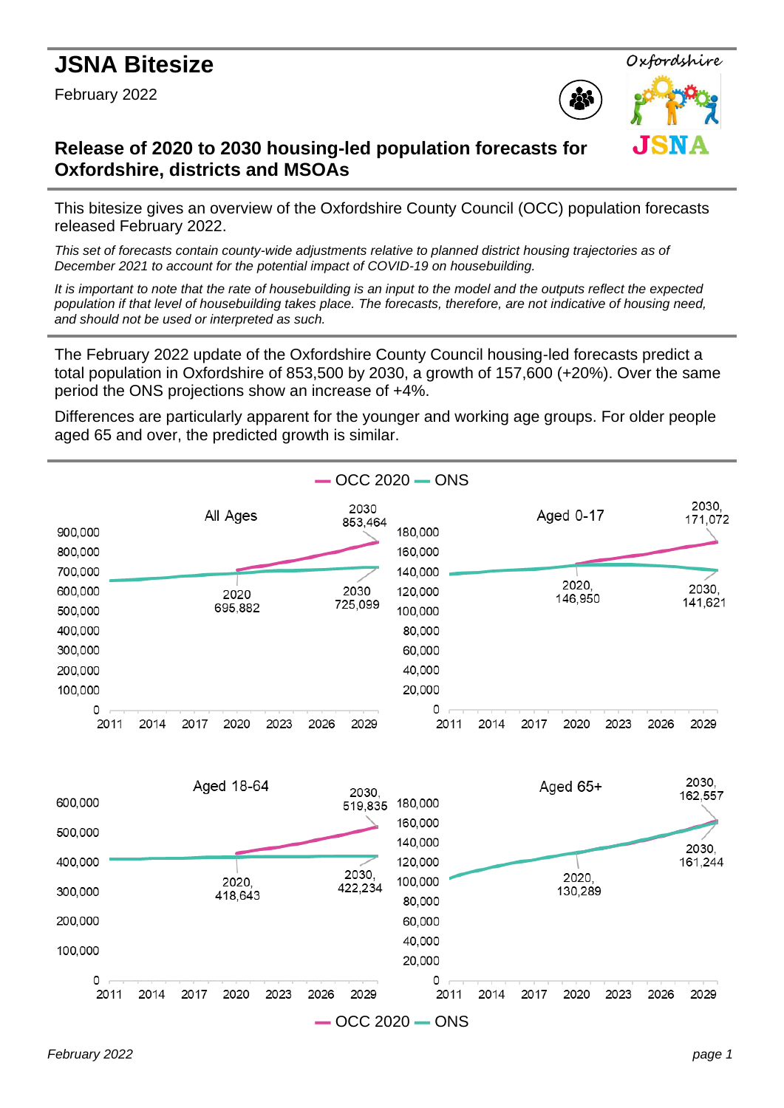# **JSNA Bitesize**

February 2022





.TSN

# **Release of 2020 to 2030 housing-led population forecasts for Oxfordshire, districts and MSOAs**

This bitesize gives an overview of the Oxfordshire County Council (OCC) population forecasts released February 2022.

*This set of forecasts contain county-wide adjustments relative to planned district housing trajectories as of December 2021 to account for the potential impact of COVID-19 on housebuilding.*

*It is important to note that the rate of housebuilding is an input to the model and the outputs reflect the expected population if that level of housebuilding takes place. The forecasts, therefore, are not indicative of housing need, and should not be used or interpreted as such.*

The February 2022 update of the Oxfordshire County Council housing-led forecasts predict a total population in Oxfordshire of 853,500 by 2030, a growth of 157,600 (+20%). Over the same period the ONS projections show an increase of +4%.

Differences are particularly apparent for the younger and working age groups. For older people aged 65 and over, the predicted growth is similar.

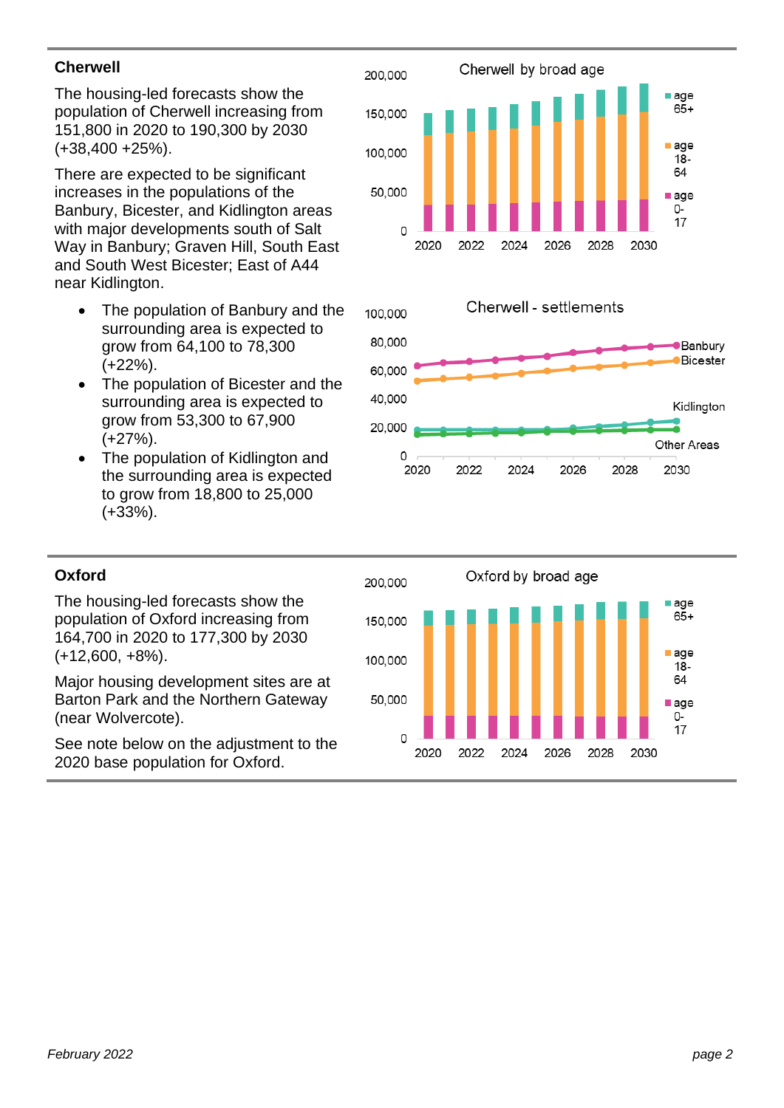## **Cherwell**

The housing -led forecasts show the population of Cherwell increasing from 151,800 in 2020 to 190,300 by 2030 (+ 3 8 , 400 + 2 5%).

There are expected to be significant increases in the populations of the Banbury , Bicester, and Kidlington area s with major developments south of Salt Way in Banbury ; Graven Hill , South East and South West Bicester; East of A44 near Kidlington .

- The population of Banbury and the surrounding area is expected to grow from 6 4 , 100 to 7 8 , 300 (+ 2 2%).
- The population of Bicester and the surrounding area is expected to grow from 5 3 , 300 to 6 7 , 900 (+ 2 7%).
- The population of Kidlington and the surrounding area is expected to grow from 1 8 , 800 to 2 5 , 000 (+ 3 3%).





# **Oxford**

The housing -led forecasts show the population of Oxford increasing from 164,700 in 2020 to 177,300 by 2030 (+ 1 2 , 600, + 8%).

Major housing development sites are at Barton Park and the Northern Gateway (near Wolvercote).

See note below on the adjustment to the 2020 base population for Oxford .

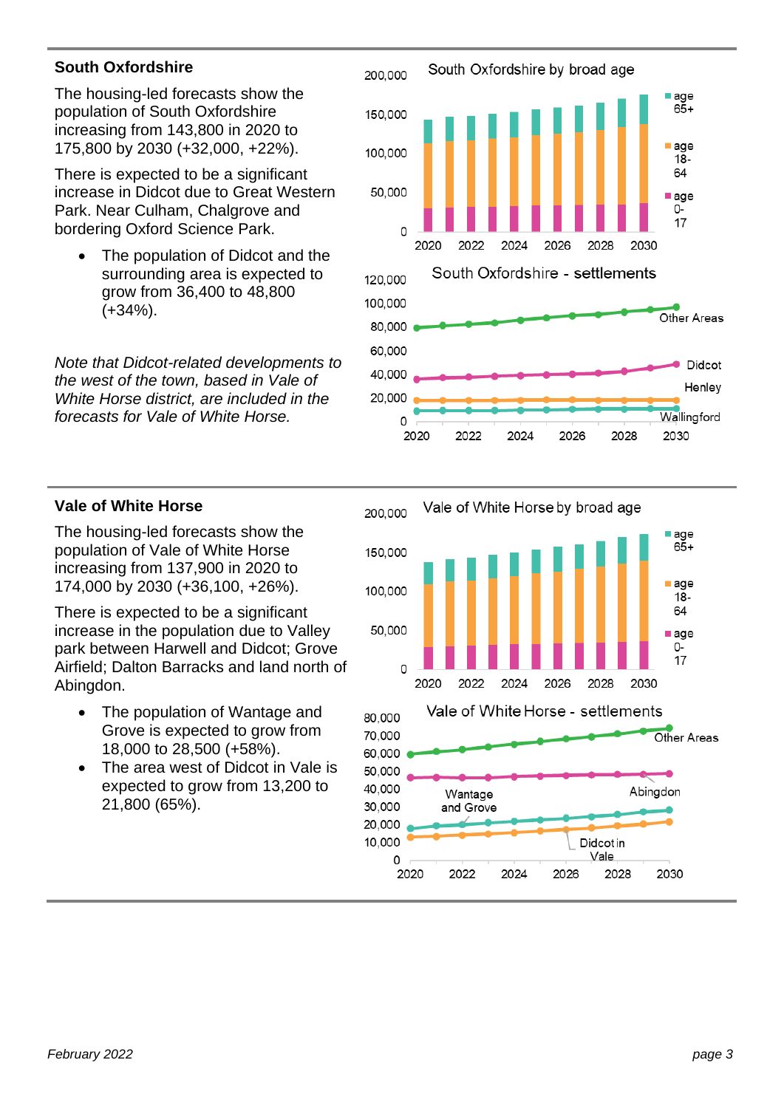## **South Oxfordshire**

The housing -led forecasts show the population of South Oxfordshire increasing from 1 4 3 , 800 in 2020 to 1 7 5 , 800 by 2030 (+32 , 0 00, + 2 2%).

There is expected to be a significant increase in Didcot due to Great Western Park. Near Culham, Chalgrove and bordering Oxford Science Park .

The population of Didcot and the surrounding area is expected to grow from 36 , 400 to 4 8 , 800 (+ 3 4%).

*Note that Didcot -related developments to the west of the town, based in Vale of White Horse district, are included in the forecasts for Vale of White Horse.*



#### **Vale of White Horse**

The housing -led forecasts show the population of Vale of White Horse increasing from 13 7 , 900 in 2020 to 1 7 4 , 000 by 2030 (+3 6 , 100, +2 6%).

There is expected to be a significant increase in the population due to Valley park between Harwell and Didcot; Grove Airfield; Dalton Barracks and land north of Abingdon .

- The population of Wantage and Grove is expected to grow from 18,000 to 28,500 (+58%).
- The area west of Didcot in Vale is expected to grow from 1 3 , 200 to 2 1 , 800 (65%) .

10,000

0

2020

2022

2024

Vale of White Horse by broad age 200,000 age  $65+$ 150,000  $a$ ge 100,000  $18 -$ 64 50,000 age 0- $\overline{17}$ 0 2020 2024 2028 2030 2022 2026 Vale of White Horse - settlements 80,000 70.000 Other Areas 60,000 50,000 40.000 Abingdon Wantage 30,000 and Grove 20,000

Didcot in Vale

2026

2028

2030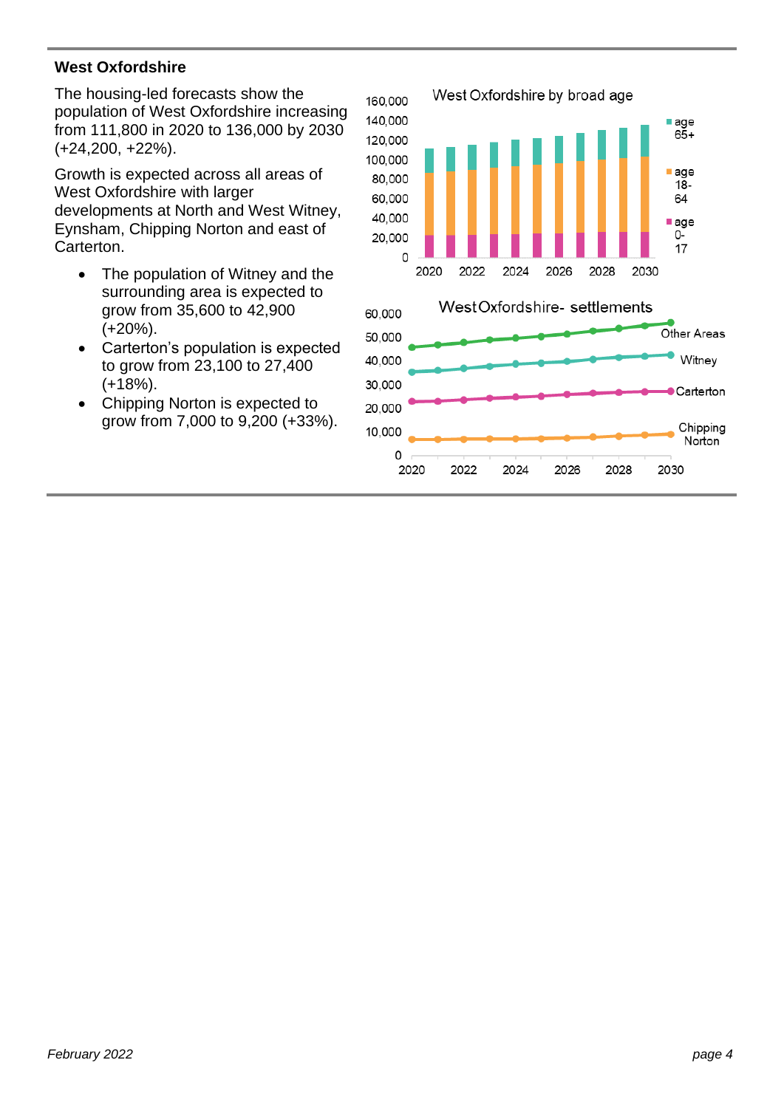## **West Oxfordshire**

The housing-led forecasts show the population of West Oxfordshire increasing from 111,800 in 2020 to 136,000 by 2030 (+24,200, +22%).

Growth is expected across all areas of West Oxfordshire with larger developments at North and West Witney, Eynsham, Chipping Norton and east of Carterton.

- The population of Witney and the surrounding area is expected to grow from 35,600 to 42,900 (+20%).
- Carterton's population is expected to grow from 23,100 to 27,400 (+18%).
- Chipping Norton is expected to grow from 7,000 to 9,200 (+33%).